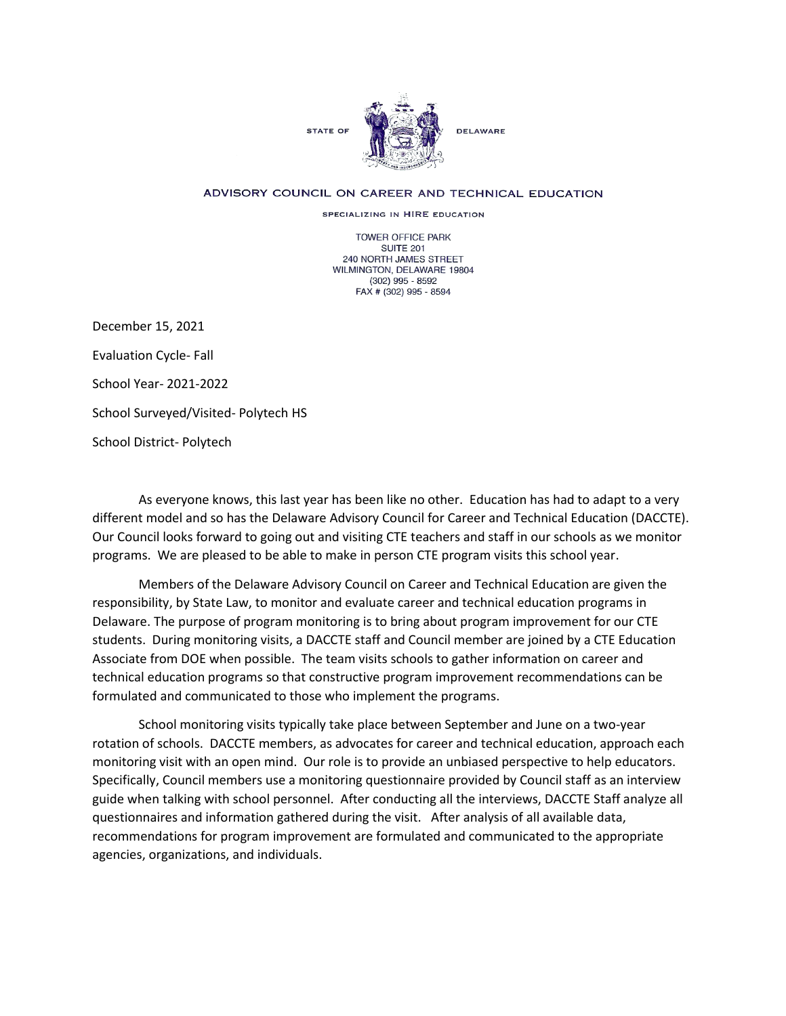

## ADVISORY COUNCIL ON CAREER AND TECHNICAL EDUCATION

SPECIALIZING IN HIRE EDUCATION

TOWER OFFICE PARK SUITE 201 240 NORTH JAMES STREET WILMINGTON, DELAWARE 19804 (302) 995 - 8592 FAX # (302) 995 - 8594

December 15, 2021 Evaluation Cycle- Fall School Year- 2021-2022 School Surveyed/Visited- Polytech HS School District- Polytech

As everyone knows, this last year has been like no other. Education has had to adapt to a very different model and so has the Delaware Advisory Council for Career and Technical Education (DACCTE). Our Council looks forward to going out and visiting CTE teachers and staff in our schools as we monitor programs. We are pleased to be able to make in person CTE program visits this school year.

Members of the Delaware Advisory Council on Career and Technical Education are given the responsibility, by State Law, to monitor and evaluate career and technical education programs in Delaware. The purpose of program monitoring is to bring about program improvement for our CTE students. During monitoring visits, a DACCTE staff and Council member are joined by a CTE Education Associate from DOE when possible. The team visits schools to gather information on career and technical education programs so that constructive program improvement recommendations can be formulated and communicated to those who implement the programs.

School monitoring visits typically take place between September and June on a two-year rotation of schools. DACCTE members, as advocates for career and technical education, approach each monitoring visit with an open mind. Our role is to provide an unbiased perspective to help educators. Specifically, Council members use a monitoring questionnaire provided by Council staff as an interview guide when talking with school personnel. After conducting all the interviews, DACCTE Staff analyze all questionnaires and information gathered during the visit. After analysis of all available data, recommendations for program improvement are formulated and communicated to the appropriate agencies, organizations, and individuals.